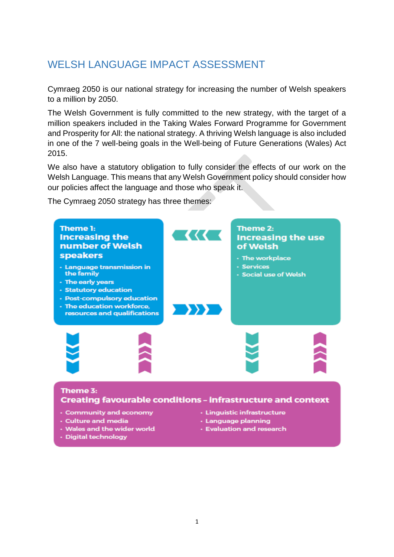# WELSH LANGUAGE IMPACT ASSESSMENT

Cymraeg 2050 is our national strategy for increasing the number of Welsh speakers to a million by 2050.

The Welsh Government is fully committed to the new strategy, with the target of a million speakers included in the Taking Wales Forward Programme for Government and Prosperity for All: the national strategy. A thriving Welsh language is also included in one of the 7 well-being goals in the Well-being of Future Generations (Wales) Act 2015.

We also have a statutory obligation to fully consider the effects of our work on the Welsh Language. This means that any Welsh Government policy should consider how our policies affect the language and those who speak it.

The Cymraeg 2050 strategy has three themes:

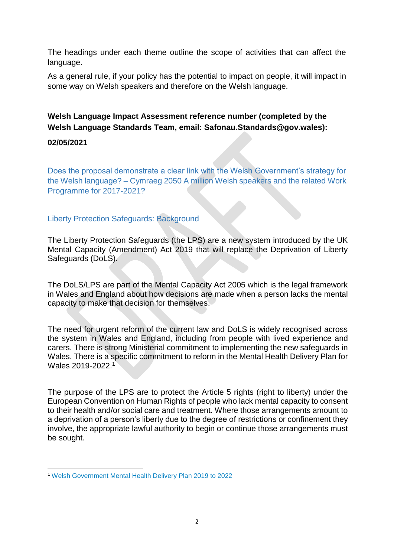The headings under each theme outline the scope of activities that can affect the language.

As a general rule, if your policy has the potential to impact on people, it will impact in some way on Welsh speakers and therefore on the Welsh language.

## **Welsh Language Impact Assessment reference number (completed by the Welsh Language Standards Team, email: Safonau.Standards@gov.wales):**

#### **02/05/2021**

Does the proposal demonstrate a clear link with the Welsh Government's strategy for the Welsh language? – [Cymraeg 2050 A million Welsh speakers](http://gov.wales/docs/dcells/publications/170711-welsh-language-strategy-eng.pdf) and the related [Work](https://gov.wales/docs/dcells/publications/170711-cymraeg-2050-work-programme-eng-v2.pdf)  [Programme for 2017-2021?](https://gov.wales/docs/dcells/publications/170711-cymraeg-2050-work-programme-eng-v2.pdf)

#### Liberty Protection Safeguards: Background

The Liberty Protection Safeguards (the LPS) are a new system introduced by the UK Mental Capacity (Amendment) Act 2019 that will replace the Deprivation of Liberty Safeguards (DoLS).

The DoLS/LPS are part of the Mental Capacity Act 2005 which is the legal framework in Wales and England about how decisions are made when a person lacks the mental capacity to make that decision for themselves.

The need for urgent reform of the current law and DoLS is widely recognised across the system in Wales and England, including from people with lived experience and carers. There is strong Ministerial commitment to implementing the new safeguards in Wales. There is a specific commitment to reform in the Mental Health Delivery Plan for Wales 2019-2022.<sup>1</sup>

The purpose of the LPS are to protect the Article 5 rights (right to liberty) under the European Convention on Human Rights of people who lack mental capacity to consent to their health and/or social care and treatment. Where those arrangements amount to a deprivation of a person's liberty due to the degree of restrictions or confinement they involve, the appropriate lawful authority to begin or continue those arrangements must be sought.

**<sup>.</sup>** <sup>1</sup> [Welsh Government Mental Health Delivery Plan 2019 to 2022](https://gov.wales/mental-health-delivery-plan-2019-to-2022)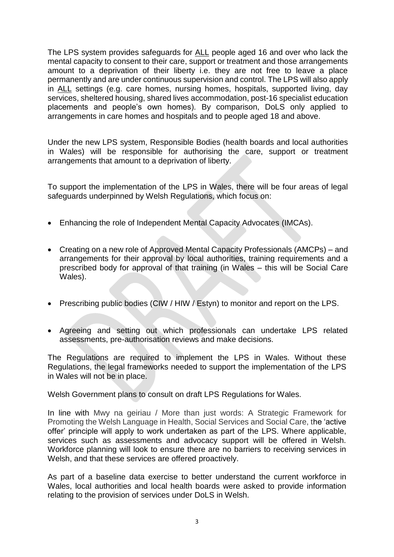The LPS system provides safeguards for ALL people aged 16 and over who lack the mental capacity to consent to their care, support or treatment and those arrangements amount to a deprivation of their liberty i.e. they are not free to leave a place permanently and are under continuous supervision and control. The LPS will also apply in ALL settings (e.g. care homes, nursing homes, hospitals, supported living, day services, sheltered housing, shared lives accommodation, post-16 specialist education placements and people's own homes). By comparison, DoLS only applied to arrangements in care homes and hospitals and to people aged 18 and above.

Under the new LPS system, Responsible Bodies (health boards and local authorities in Wales) will be responsible for authorising the care, support or treatment arrangements that amount to a deprivation of liberty.

To support the implementation of the LPS in Wales, there will be four areas of legal safeguards underpinned by Welsh Regulations, which focus on:

- Enhancing the role of Independent Mental Capacity Advocates (IMCAs).
- Creating on a new role of Approved Mental Capacity Professionals (AMCPs) and arrangements for their approval by local authorities, training requirements and a prescribed body for approval of that training (in Wales – this will be Social Care Wales).
- Prescribing public bodies (CIW / HIW / Estyn) to monitor and report on the LPS.
- Agreeing and setting out which professionals can undertake LPS related assessments, pre-authorisation reviews and make decisions.

The Regulations are required to implement the LPS in Wales. Without these Regulations, the legal frameworks needed to support the implementation of the LPS in Wales will not be in place.

Welsh Government plans to consult on draft LPS Regulations for Wales.

In line with Mwy na geiriau / More than just words: A Strategic Framework for Promoting the Welsh Language in Health, Social Services and Social Care, the 'active offer' principle will apply to work undertaken as part of the LPS. Where applicable, services such as assessments and advocacy support will be offered in Welsh. Workforce planning will look to ensure there are no barriers to receiving services in Welsh, and that these services are offered proactively.

As part of a baseline data exercise to better understand the current workforce in Wales, local authorities and local health boards were asked to provide information relating to the provision of services under DoLS in Welsh.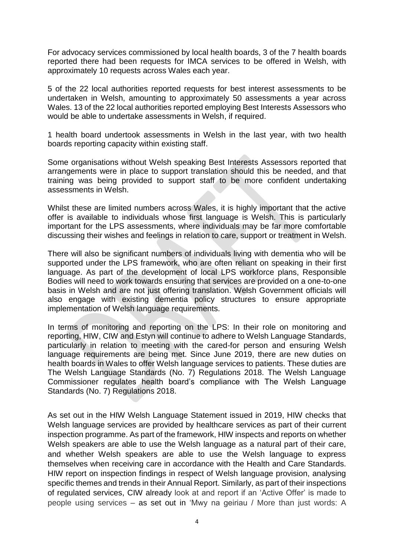For advocacy services commissioned by local health boards, 3 of the 7 health boards reported there had been requests for IMCA services to be offered in Welsh, with approximately 10 requests across Wales each year.

5 of the 22 local authorities reported requests for best interest assessments to be undertaken in Welsh, amounting to approximately 50 assessments a year across Wales. 13 of the 22 local authorities reported employing Best Interests Assessors who would be able to undertake assessments in Welsh, if required.

1 health board undertook assessments in Welsh in the last year, with two health boards reporting capacity within existing staff.

Some organisations without Welsh speaking Best Interests Assessors reported that arrangements were in place to support translation should this be needed, and that training was being provided to support staff to be more confident undertaking assessments in Welsh.

Whilst these are limited numbers across Wales, it is highly important that the active offer is available to individuals whose first language is Welsh. This is particularly important for the LPS assessments, where individuals may be far more comfortable discussing their wishes and feelings in relation to care, support or treatment in Welsh.

There will also be significant numbers of individuals living with dementia who will be supported under the LPS framework, who are often reliant on speaking in their first language. As part of the development of local LPS workforce plans, Responsible Bodies will need to work towards ensuring that services are provided on a one-to-one basis in Welsh and are not just offering translation. Welsh Government officials will also engage with existing dementia policy structures to ensure appropriate implementation of Welsh language requirements.

In terms of monitoring and reporting on the LPS: In their role on monitoring and reporting, HIW, CIW and Estyn will continue to adhere to Welsh Language Standards, particularly in relation to meeting with the cared-for person and ensuring Welsh language requirements are being met. Since June 2019, there are new duties on health boards in Wales to offer Welsh language services to patients. These duties are The Welsh Language Standards (No. 7) Regulations 2018. The Welsh Language Commissioner regulates health board's compliance with The Welsh Language Standards (No. 7) Regulations 2018.

As set out in the HIW Welsh Language Statement issued in 2019, HIW checks that Welsh language services are provided by healthcare services as part of their current inspection programme. As part of the framework, HIW inspects and reports on whether Welsh speakers are able to use the Welsh language as a natural part of their care, and whether Welsh speakers are able to use the Welsh language to express themselves when receiving care in accordance with the Health and Care Standards. HIW report on inspection findings in respect of Welsh language provision, analysing specific themes and trends in their Annual Report. Similarly, as part of their inspections of regulated services, CIW already look at and report if an 'Active Offer' is made to people using services – as set out in 'Mwy na geiriau / More than just words: A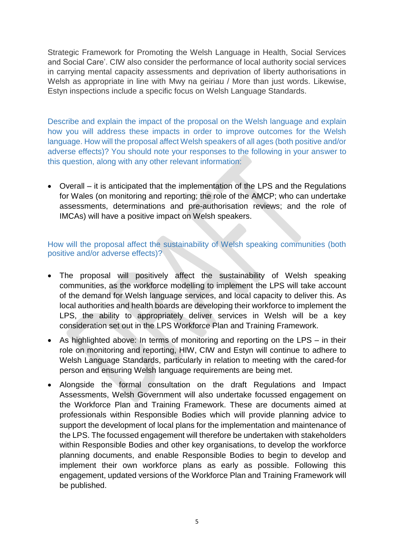Strategic Framework for Promoting the Welsh Language in Health, Social Services and Social Care'. CIW also consider the performance of local authority social services in carrying mental capacity assessments and deprivation of liberty authorisations in Welsh as appropriate in line with Mwy na geiriau / More than just words. Likewise, Estyn inspections include a specific focus on Welsh Language Standards.

Describe and explain the impact of the proposal on the Welsh language and explain how you will address these impacts in order to improve outcomes for the Welsh language. How will the proposal affect Welsh speakers of all ages (both positive and/or adverse effects)? You should note your responses to the following in your answer to this question, along with any other relevant information:

 Overall – it is anticipated that the implementation of the LPS and the Regulations for Wales (on monitoring and reporting; the role of the AMCP; who can undertake assessments, determinations and pre-authorisation reviews; and the role of IMCAs) will have a positive impact on Welsh speakers.

How will the proposal affect the sustainability of Welsh speaking communities (both positive and/or adverse effects)?

- The proposal will positively affect the sustainability of Welsh speaking communities, as the workforce modelling to implement the LPS will take account of the demand for Welsh language services, and local capacity to deliver this. As local authorities and health boards are developing their workforce to implement the LPS, the ability to appropriately deliver services in Welsh will be a key consideration set out in the LPS Workforce Plan and Training Framework.
- As highlighted above: In terms of monitoring and reporting on the LPS in their role on monitoring and reporting, HIW, CIW and Estyn will continue to adhere to Welsh Language Standards, particularly in relation to meeting with the cared-for person and ensuring Welsh language requirements are being met.
- Alongside the formal consultation on the draft Regulations and Impact Assessments, Welsh Government will also undertake focussed engagement on the Workforce Plan and Training Framework. These are documents aimed at professionals within Responsible Bodies which will provide planning advice to support the development of local plans for the implementation and maintenance of the LPS. The focussed engagement will therefore be undertaken with stakeholders within Responsible Bodies and other key organisations, to develop the workforce planning documents, and enable Responsible Bodies to begin to develop and implement their own workforce plans as early as possible. Following this engagement, updated versions of the Workforce Plan and Training Framework will be published.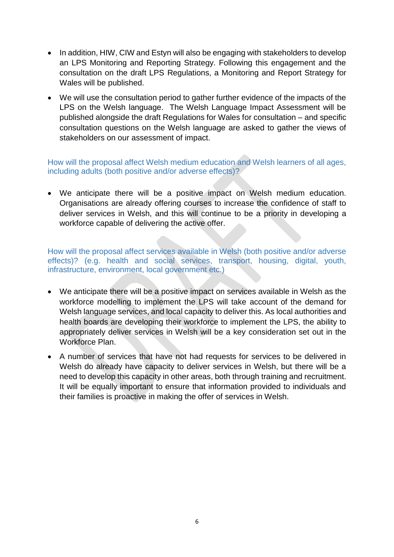- In addition, HIW, CIW and Estyn will also be engaging with stakeholders to develop an LPS Monitoring and Reporting Strategy. Following this engagement and the consultation on the draft LPS Regulations, a Monitoring and Report Strategy for Wales will be published.
- We will use the consultation period to gather further evidence of the impacts of the LPS on the Welsh language. The Welsh Language Impact Assessment will be published alongside the draft Regulations for Wales for consultation – and specific consultation questions on the Welsh language are asked to gather the views of stakeholders on our assessment of impact.

How will the proposal affect Welsh medium education and Welsh learners of all ages, including adults (both positive and/or adverse effects)?

 We anticipate there will be a positive impact on Welsh medium education. Organisations are already offering courses to increase the confidence of staff to deliver services in Welsh, and this will continue to be a priority in developing a workforce capable of delivering the active offer.

How will the proposal affect services available in Welsh (both positive and/or adverse effects)? (e.g. health and social services, transport, housing, digital, youth, infrastructure, environment, local government etc.)

- We anticipate there will be a positive impact on services available in Welsh as the workforce modelling to implement the LPS will take account of the demand for Welsh language services, and local capacity to deliver this. As local authorities and health boards are developing their workforce to implement the LPS, the ability to appropriately deliver services in Welsh will be a key consideration set out in the Workforce Plan.
- A number of services that have not had requests for services to be delivered in Welsh do already have capacity to deliver services in Welsh, but there will be a need to develop this capacity in other areas, both through training and recruitment. It will be equally important to ensure that information provided to individuals and their families is proactive in making the offer of services in Welsh.